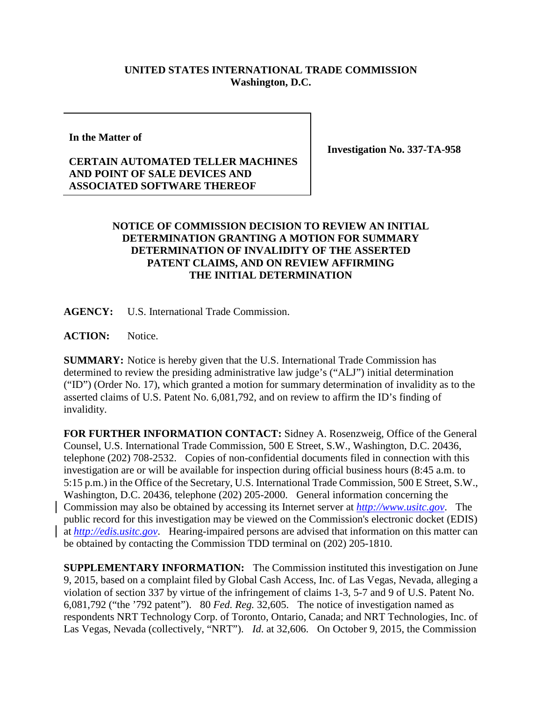## **UNITED STATES INTERNATIONAL TRADE COMMISSION Washington, D.C.**

**In the Matter of**

**Investigation No. 337-TA-958**

## **CERTAIN AUTOMATED TELLER MACHINES AND POINT OF SALE DEVICES AND ASSOCIATED SOFTWARE THEREOF**

## **NOTICE OF COMMISSION DECISION TO REVIEW AN INITIAL DETERMINATION GRANTING A MOTION FOR SUMMARY DETERMINATION OF INVALIDITY OF THE ASSERTED PATENT CLAIMS, AND ON REVIEW AFFIRMING THE INITIAL DETERMINATION**

**AGENCY:** U.S. International Trade Commission.

**ACTION:** Notice.

**SUMMARY:** Notice is hereby given that the U.S. International Trade Commission has determined to review the presiding administrative law judge's ("ALJ") initial determination ("ID") (Order No. 17), which granted a motion for summary determination of invalidity as to the asserted claims of U.S. Patent No. 6,081,792, and on review to affirm the ID's finding of invalidity.

**FOR FURTHER INFORMATION CONTACT:** Sidney A. Rosenzweig, Office of the General Counsel, U.S. International Trade Commission, 500 E Street, S.W., Washington, D.C. 20436, telephone (202) 708-2532. Copies of non-confidential documents filed in connection with this investigation are or will be available for inspection during official business hours (8:45 a.m. to 5:15 p.m.) in the Office of the Secretary, U.S. International Trade Commission, 500 E Street, S.W., Washington, D.C. 20436, telephone (202) 205-2000. General information concerning the Commission may also be obtained by accessing its Internet server at *[http://www.usitc.gov](http://www.usitc.gov/)*. The public record for this investigation may be viewed on the Commission's electronic docket (EDIS) at *[http://edis.usitc.gov](http://edis.usitc.gov/)*. Hearing-impaired persons are advised that information on this matter can be obtained by contacting the Commission TDD terminal on (202) 205-1810.

**SUPPLEMENTARY INFORMATION:** The Commission instituted this investigation on June 9, 2015, based on a complaint filed by Global Cash Access, Inc. of Las Vegas, Nevada, alleging a violation of section 337 by virtue of the infringement of claims 1-3, 5-7 and 9 of U.S. Patent No. 6,081,792 ("the '792 patent"). 80 *Fed. Reg.* 32,605. The notice of investigation named as respondents NRT Technology Corp. of Toronto, Ontario, Canada; and NRT Technologies, Inc. of Las Vegas, Nevada (collectively, "NRT"). *Id*. at 32,606. On October 9, 2015, the Commission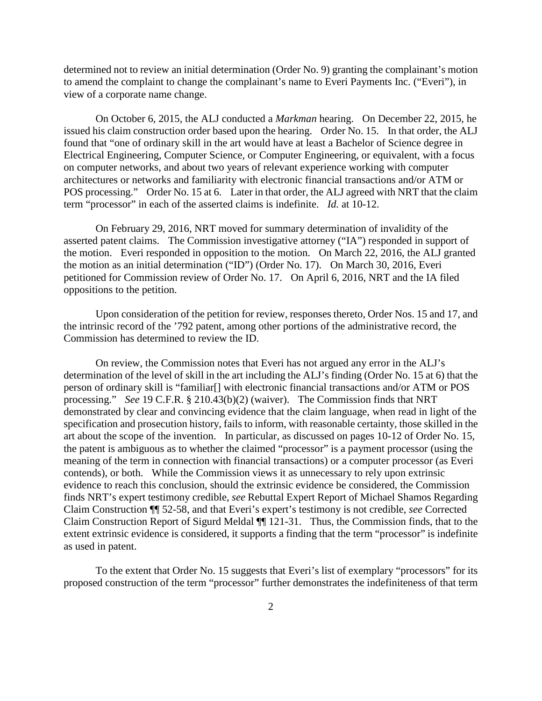determined not to review an initial determination (Order No. 9) granting the complainant's motion to amend the complaint to change the complainant's name to Everi Payments Inc. ("Everi"), in view of a corporate name change.

On October 6, 2015, the ALJ conducted a *Markman* hearing. On December 22, 2015, he issued his claim construction order based upon the hearing. Order No. 15. In that order, the ALJ found that "one of ordinary skill in the art would have at least a Bachelor of Science degree in Electrical Engineering, Computer Science, or Computer Engineering, or equivalent, with a focus on computer networks, and about two years of relevant experience working with computer architectures or networks and familiarity with electronic financial transactions and/or ATM or POS processing." Order No. 15 at 6. Later in that order, the ALJ agreed with NRT that the claim term "processor" in each of the asserted claims is indefinite. *Id.* at 10-12.

On February 29, 2016, NRT moved for summary determination of invalidity of the asserted patent claims. The Commission investigative attorney ("IA") responded in support of the motion. Everi responded in opposition to the motion. On March 22, 2016, the ALJ granted the motion as an initial determination ("ID") (Order No. 17). On March 30, 2016, Everi petitioned for Commission review of Order No. 17. On April 6, 2016, NRT and the IA filed oppositions to the petition.

Upon consideration of the petition for review, responses thereto, Order Nos. 15 and 17, and the intrinsic record of the '792 patent, among other portions of the administrative record, the Commission has determined to review the ID.

On review, the Commission notes that Everi has not argued any error in the ALJ's determination of the level of skill in the art including the ALJ's finding (Order No. 15 at 6) that the person of ordinary skill is "familiar[] with electronic financial transactions and/or ATM or POS processing." *See* 19 C.F.R. § 210.43(b)(2) (waiver). The Commission finds that NRT demonstrated by clear and convincing evidence that the claim language, when read in light of the specification and prosecution history, fails to inform, with reasonable certainty, those skilled in the art about the scope of the invention. In particular, as discussed on pages 10-12 of Order No. 15, the patent is ambiguous as to whether the claimed "processor" is a payment processor (using the meaning of the term in connection with financial transactions) or a computer processor (as Everi contends), or both. While the Commission views it as unnecessary to rely upon extrinsic evidence to reach this conclusion, should the extrinsic evidence be considered, the Commission finds NRT's expert testimony credible, *see* Rebuttal Expert Report of Michael Shamos Regarding Claim Construction ¶¶ 52-58, and that Everi's expert's testimony is not credible, *see* Corrected Claim Construction Report of Sigurd Meldal ¶¶ 121-31. Thus, the Commission finds, that to the extent extrinsic evidence is considered, it supports a finding that the term "processor" is indefinite as used in patent.

To the extent that Order No. 15 suggests that Everi's list of exemplary "processors" for its proposed construction of the term "processor" further demonstrates the indefiniteness of that term